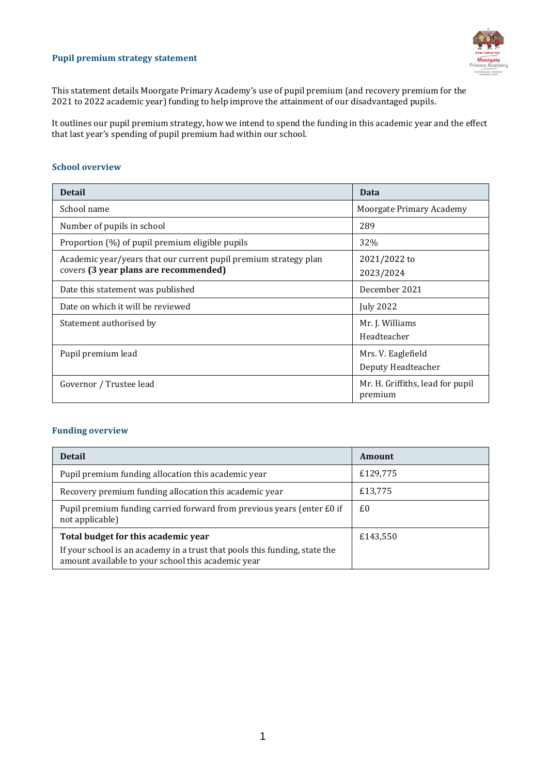#### **Pupil premium strategy statement**



This statement details Moorgate Primary Academy's use of pupil premium (and recovery premium for the 2021 to 2022 academic year) funding to help improve the attainment of our disadvantaged pupils.

It outlines our pupil premium strategy, how we intend to spend the funding in this academic year and the effect that last year's spending of pupil premium had within our school.

### **School overview**

| <b>Detail</b>                                                    | Data                                        |
|------------------------------------------------------------------|---------------------------------------------|
| School name                                                      | Moorgate Primary Academy                    |
| Number of pupils in school                                       | 289                                         |
| Proportion (%) of pupil premium eligible pupils                  | 32%                                         |
| Academic year/years that our current pupil premium strategy plan | 2021/2022 to                                |
| covers (3 year plans are recommended)                            | 2023/2024                                   |
| Date this statement was published                                | December 2021                               |
| Date on which it will be reviewed                                | <b>July 2022</b>                            |
| Statement authorised by                                          | Mr. J. Williams                             |
|                                                                  | Headteacher                                 |
| Pupil premium lead                                               | Mrs. V. Eaglefield                          |
|                                                                  | Deputy Headteacher                          |
| Governor / Trustee lead                                          | Mr. H. Griffiths, lead for pupil<br>premium |

#### **Funding overview**

| <b>Detail</b>                                                                                                                    | Amount   |
|----------------------------------------------------------------------------------------------------------------------------------|----------|
| Pupil premium funding allocation this academic year                                                                              | £129,775 |
| Recovery premium funding allocation this academic year                                                                           | £13,775  |
| Pupil premium funding carried forward from previous years (enter £0 if<br>not applicable)                                        | £0       |
| Total budget for this academic year                                                                                              | £143,550 |
| If your school is an academy in a trust that pools this funding, state the<br>amount available to your school this academic year |          |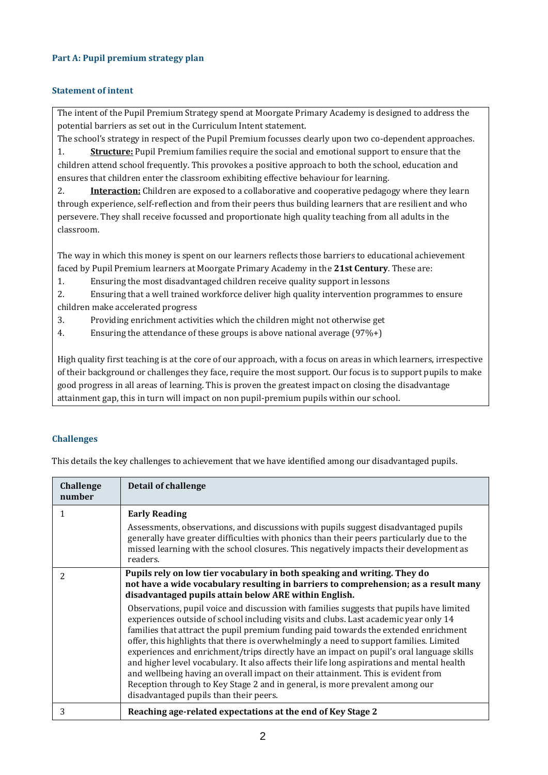### **Part A: Pupil premium strategy plan**

### **Statement of intent**

The intent of the Pupil Premium Strategy spend at Moorgate Primary Academy is designed to address the potential barriers as set out in the Curriculum Intent statement.

The school's strategy in respect of the Pupil Premium focusses clearly upon two co-dependent approaches.

1. **Structure:** Pupil Premium families require the social and emotional support to ensure that the children attend school frequently. This provokes a positive approach to both the school, education and ensures that children enter the classroom exhibiting effective behaviour for learning.

2. **Interaction:** Children are exposed to a collaborative and cooperative pedagogy where they learn through experience, self-reflection and from their peers thus building learners that are resilient and who persevere. They shall receive focussed and proportionate high quality teaching from all adults in the classroom.

The way in which this money is spent on our learners reflects those barriers to educational achievement faced by Pupil Premium learners at Moorgate Primary Academy in the **21st Century**. These are:

1. Ensuring the most disadvantaged children receive quality support in lessons

2. Ensuring that a well trained workforce deliver high quality intervention programmes to ensure children make accelerated progress

- 3. Providing enrichment activities which the children might not otherwise get
- 4. Ensuring the attendance of these groups is above national average (97%+)

High quality first teaching is at the core of our approach, with a focus on areas in which learners, irrespective of their background or challenges they face, require the most support. Our focus is to support pupils to make good progress in all areas of learning. This is proven the greatest impact on closing the disadvantage attainment gap, this in turn will impact on non pupil-premium pupils within our school.

### **Challenges**

This details the key challenges to achievement that we have identified among our disadvantaged pupils.

| Challenge<br>number | Detail of challenge                                                                                                                                                                                                                                                                                                                                                                                                                                                                                                                                                                                                                                                                                                                                                                                                                                                                                                                                                                                     |
|---------------------|---------------------------------------------------------------------------------------------------------------------------------------------------------------------------------------------------------------------------------------------------------------------------------------------------------------------------------------------------------------------------------------------------------------------------------------------------------------------------------------------------------------------------------------------------------------------------------------------------------------------------------------------------------------------------------------------------------------------------------------------------------------------------------------------------------------------------------------------------------------------------------------------------------------------------------------------------------------------------------------------------------|
|                     | <b>Early Reading</b><br>Assessments, observations, and discussions with pupils suggest disadvantaged pupils<br>generally have greater difficulties with phonics than their peers particularly due to the<br>missed learning with the school closures. This negatively impacts their development as<br>readers.                                                                                                                                                                                                                                                                                                                                                                                                                                                                                                                                                                                                                                                                                          |
| $\mathcal{P}$       | Pupils rely on low tier vocabulary in both speaking and writing. They do<br>not have a wide vocabulary resulting in barriers to comprehension; as a result many<br>disadvantaged pupils attain below ARE within English.<br>Observations, pupil voice and discussion with families suggests that pupils have limited<br>experiences outside of school including visits and clubs. Last academic year only 14<br>families that attract the pupil premium funding paid towards the extended enrichment<br>offer, this highlights that there is overwhelmingly a need to support families. Limited<br>experiences and enrichment/trips directly have an impact on pupil's oral language skills<br>and higher level vocabulary. It also affects their life long aspirations and mental health<br>and wellbeing having an overall impact on their attainment. This is evident from<br>Reception through to Key Stage 2 and in general, is more prevalent among our<br>disadvantaged pupils than their peers. |
| 3                   | Reaching age-related expectations at the end of Key Stage 2                                                                                                                                                                                                                                                                                                                                                                                                                                                                                                                                                                                                                                                                                                                                                                                                                                                                                                                                             |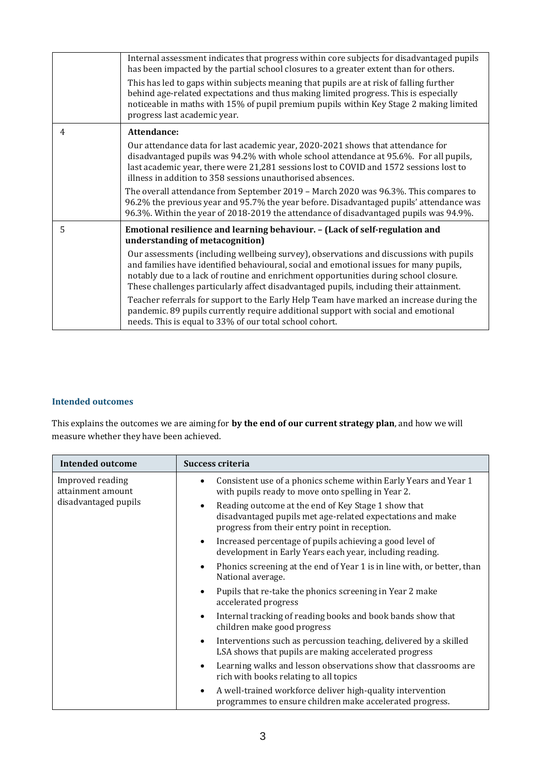|   | Internal assessment indicates that progress within core subjects for disadvantaged pupils<br>has been impacted by the partial school closures to a greater extent than for others.<br>This has led to gaps within subjects meaning that pupils are at risk of falling further<br>behind age-related expectations and thus making limited progress. This is especially<br>noticeable in maths with 15% of pupil premium pupils within Key Stage 2 making limited<br>progress last academic year. |
|---|-------------------------------------------------------------------------------------------------------------------------------------------------------------------------------------------------------------------------------------------------------------------------------------------------------------------------------------------------------------------------------------------------------------------------------------------------------------------------------------------------|
| 4 | Attendance:                                                                                                                                                                                                                                                                                                                                                                                                                                                                                     |
|   | Our attendance data for last academic year, 2020-2021 shows that attendance for<br>disadvantaged pupils was 94.2% with whole school attendance at 95.6%. For all pupils,<br>last academic year, there were 21,281 sessions lost to COVID and 1572 sessions lost to<br>illness in addition to 358 sessions unauthorised absences.                                                                                                                                                                |
|   | The overall attendance from September 2019 - March 2020 was 96.3%. This compares to<br>96.2% the previous year and 95.7% the year before. Disadvantaged pupils' attendance was<br>96.3%. Within the year of 2018-2019 the attendance of disadvantaged pupils was 94.9%.                                                                                                                                                                                                                         |
| 5 | Emotional resilience and learning behaviour. - (Lack of self-regulation and<br>understanding of metacognition)                                                                                                                                                                                                                                                                                                                                                                                  |
|   | Our assessments (including wellbeing survey), observations and discussions with pupils<br>and families have identified behavioural, social and emotional issues for many pupils,<br>notably due to a lack of routine and enrichment opportunities during school closure.<br>These challenges particularly affect disadvantaged pupils, including their attainment.                                                                                                                              |
|   | Teacher referrals for support to the Early Help Team have marked an increase during the<br>pandemic. 89 pupils currently require additional support with social and emotional<br>needs. This is equal to 33% of our total school cohort.                                                                                                                                                                                                                                                        |

## **Intended outcomes**

This explains the outcomes we are aiming for **by the end of our current strategy plan**, and how we will measure whether they have been achieved.

| <b>Intended outcome</b>                                       | Success criteria                                                                                                                                                                |
|---------------------------------------------------------------|---------------------------------------------------------------------------------------------------------------------------------------------------------------------------------|
| Improved reading<br>attainment amount<br>disadvantaged pupils | Consistent use of a phonics scheme within Early Years and Year 1<br>with pupils ready to move onto spelling in Year 2.                                                          |
|                                                               | Reading outcome at the end of Key Stage 1 show that<br>$\bullet$<br>disadvantaged pupils met age-related expectations and make<br>progress from their entry point in reception. |
|                                                               | Increased percentage of pupils achieving a good level of<br>$\bullet$<br>development in Early Years each year, including reading.                                               |
|                                                               | Phonics screening at the end of Year 1 is in line with, or better, than<br>$\bullet$<br>National average.                                                                       |
|                                                               | Pupils that re-take the phonics screening in Year 2 make<br>$\bullet$<br>accelerated progress                                                                                   |
|                                                               | Internal tracking of reading books and book bands show that<br>$\bullet$<br>children make good progress                                                                         |
|                                                               | Interventions such as percussion teaching, delivered by a skilled<br>$\bullet$<br>LSA shows that pupils are making accelerated progress                                         |
|                                                               | Learning walks and lesson observations show that classrooms are<br>$\bullet$<br>rich with books relating to all topics                                                          |
|                                                               | A well-trained workforce deliver high-quality intervention<br>$\bullet$<br>programmes to ensure children make accelerated progress.                                             |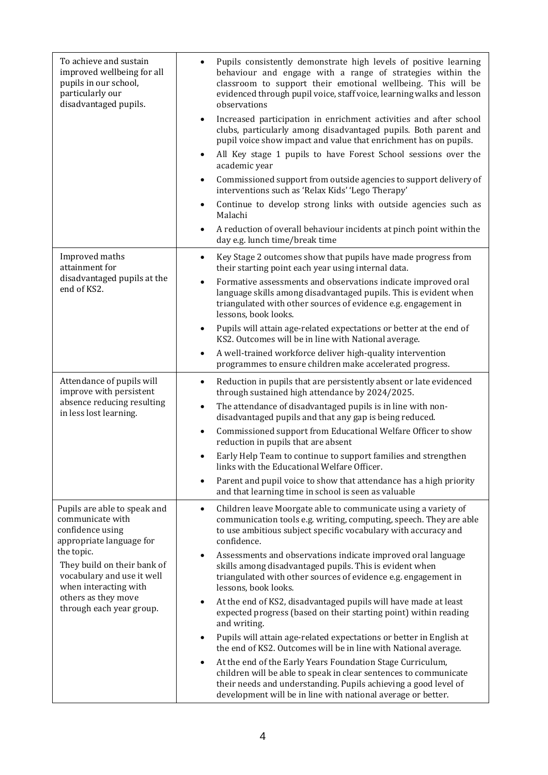| To achieve and sustain<br>improved wellbeing for all<br>pupils in our school,<br>particularly our<br>disadvantaged pupils.                                                                                                                              | Pupils consistently demonstrate high levels of positive learning<br>behaviour and engage with a range of strategies within the<br>classroom to support their emotional wellbeing. This will be<br>evidenced through pupil voice, staff voice, learning walks and lesson<br>observations |
|---------------------------------------------------------------------------------------------------------------------------------------------------------------------------------------------------------------------------------------------------------|-----------------------------------------------------------------------------------------------------------------------------------------------------------------------------------------------------------------------------------------------------------------------------------------|
|                                                                                                                                                                                                                                                         | Increased participation in enrichment activities and after school<br>$\bullet$<br>clubs, particularly among disadvantaged pupils. Both parent and<br>pupil voice show impact and value that enrichment has on pupils.                                                                   |
|                                                                                                                                                                                                                                                         | All Key stage 1 pupils to have Forest School sessions over the<br>$\bullet$<br>academic year                                                                                                                                                                                            |
|                                                                                                                                                                                                                                                         | Commissioned support from outside agencies to support delivery of<br>$\bullet$<br>interventions such as 'Relax Kids' 'Lego Therapy'                                                                                                                                                     |
|                                                                                                                                                                                                                                                         | Continue to develop strong links with outside agencies such as<br>$\bullet$<br>Malachi                                                                                                                                                                                                  |
|                                                                                                                                                                                                                                                         | A reduction of overall behaviour incidents at pinch point within the<br>day e.g. lunch time/break time                                                                                                                                                                                  |
| Improved maths<br>attainment for                                                                                                                                                                                                                        | Key Stage 2 outcomes show that pupils have made progress from<br>$\bullet$<br>their starting point each year using internal data.                                                                                                                                                       |
| disadvantaged pupils at the<br>end of KS2.                                                                                                                                                                                                              | Formative assessments and observations indicate improved oral<br>$\bullet$<br>language skills among disadvantaged pupils. This is evident when<br>triangulated with other sources of evidence e.g. engagement in<br>lessons, book looks.                                                |
|                                                                                                                                                                                                                                                         | Pupils will attain age-related expectations or better at the end of<br>$\bullet$<br>KS2. Outcomes will be in line with National average.                                                                                                                                                |
|                                                                                                                                                                                                                                                         | A well-trained workforce deliver high-quality intervention<br>$\bullet$<br>programmes to ensure children make accelerated progress.                                                                                                                                                     |
| Attendance of pupils will<br>improve with persistent                                                                                                                                                                                                    | Reduction in pupils that are persistently absent or late evidenced<br>$\bullet$<br>through sustained high attendance by 2024/2025.                                                                                                                                                      |
| absence reducing resulting<br>in less lost learning.                                                                                                                                                                                                    | The attendance of disadvantaged pupils is in line with non-<br>$\bullet$<br>disadvantaged pupils and that any gap is being reduced.                                                                                                                                                     |
|                                                                                                                                                                                                                                                         | Commissioned support from Educational Welfare Officer to show<br>$\bullet$<br>reduction in pupils that are absent                                                                                                                                                                       |
|                                                                                                                                                                                                                                                         | Early Help Team to continue to support families and strengthen<br>links with the Educational Welfare Officer.                                                                                                                                                                           |
|                                                                                                                                                                                                                                                         | Parent and pupil voice to show that attendance has a high priority<br>and that learning time in school is seen as valuable                                                                                                                                                              |
| Pupils are able to speak and<br>communicate with<br>confidence using<br>appropriate language for<br>the topic.<br>They build on their bank of<br>vocabulary and use it well<br>when interacting with<br>others as they move<br>through each year group. | Children leave Moorgate able to communicate using a variety of<br>$\bullet$<br>communication tools e.g. writing, computing, speech. They are able<br>to use ambitious subject specific vocabulary with accuracy and<br>confidence.                                                      |
|                                                                                                                                                                                                                                                         | Assessments and observations indicate improved oral language<br>$\bullet$<br>skills among disadvantaged pupils. This is evident when<br>triangulated with other sources of evidence e.g. engagement in<br>lessons, book looks.                                                          |
|                                                                                                                                                                                                                                                         | At the end of KS2, disadvantaged pupils will have made at least<br>$\bullet$<br>expected progress (based on their starting point) within reading<br>and writing.                                                                                                                        |
|                                                                                                                                                                                                                                                         | Pupils will attain age-related expectations or better in English at<br>the end of KS2. Outcomes will be in line with National average.                                                                                                                                                  |
|                                                                                                                                                                                                                                                         | At the end of the Early Years Foundation Stage Curriculum,<br>$\bullet$<br>children will be able to speak in clear sentences to communicate<br>their needs and understanding. Pupils achieving a good level of<br>development will be in line with national average or better.          |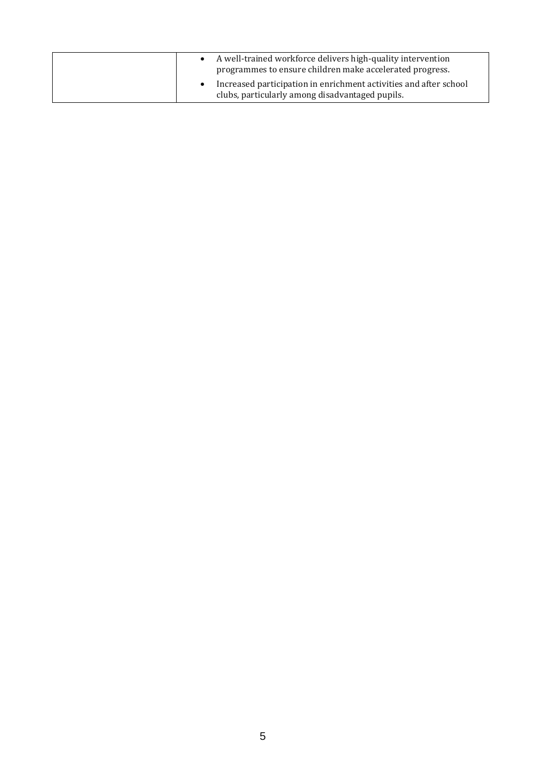| A well-trained workforce delivers high-quality intervention<br>programmes to ensure children make accelerated progress. |
|-------------------------------------------------------------------------------------------------------------------------|
| Increased participation in enrichment activities and after school<br>clubs, particularly among disadvantaged pupils.    |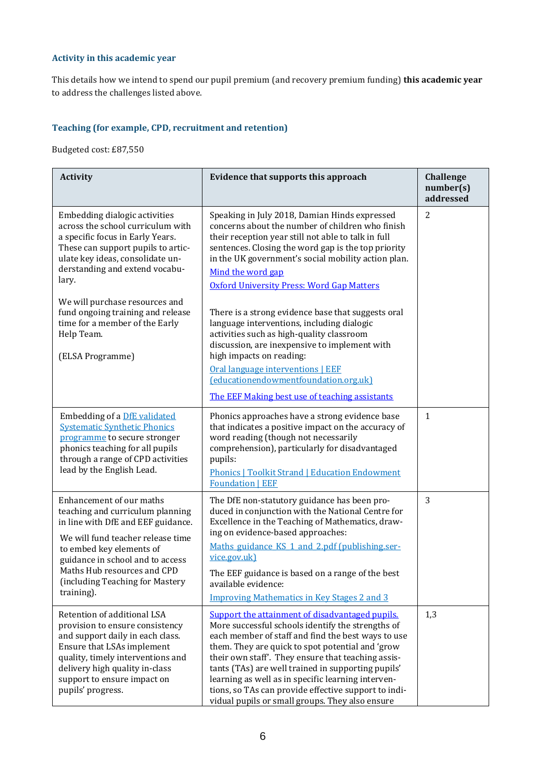## **Activity in this academic year**

This details how we intend to spend our pupil premium (and recovery premium funding) **this academic year** to address the challenges listed above.

## **Teaching (for example, CPD, recruitment and retention)**

Budgeted cost: £87,550

| <b>Activity</b>                                                                                                                                                                                                                                                                                                                                                        | <b>Evidence that supports this approach</b>                                                                                                                                                                                                                                                                                                                                                                                                                                                                                                                                                                                                                                                                   | <b>Challenge</b><br>number(s)<br>addressed |
|------------------------------------------------------------------------------------------------------------------------------------------------------------------------------------------------------------------------------------------------------------------------------------------------------------------------------------------------------------------------|---------------------------------------------------------------------------------------------------------------------------------------------------------------------------------------------------------------------------------------------------------------------------------------------------------------------------------------------------------------------------------------------------------------------------------------------------------------------------------------------------------------------------------------------------------------------------------------------------------------------------------------------------------------------------------------------------------------|--------------------------------------------|
| Embedding dialogic activities<br>across the school curriculum with<br>a specific focus in Early Years.<br>These can support pupils to artic-<br>ulate key ideas, consolidate un-<br>derstanding and extend vocabu-<br>lary.<br>We will purchase resources and<br>fund ongoing training and release<br>time for a member of the Early<br>Help Team.<br>(ELSA Programme) | Speaking in July 2018, Damian Hinds expressed<br>concerns about the number of children who finish<br>their reception year still not able to talk in full<br>sentences. Closing the word gap is the top priority<br>in the UK government's social mobility action plan.<br>Mind the word gap<br><b>Oxford University Press: Word Gap Matters</b><br>There is a strong evidence base that suggests oral<br>language interventions, including dialogic<br>activities such as high-quality classroom<br>discussion, are inexpensive to implement with<br>high impacts on reading:<br>Oral language interventions   EEF<br>(educationendowmentfoundation.org.uk)<br>The EEF Making best use of teaching assistants | 2                                          |
| Embedding of a DfE validated<br><b>Systematic Synthetic Phonics</b><br>programme to secure stronger<br>phonics teaching for all pupils<br>through a range of CPD activities<br>lead by the English Lead.                                                                                                                                                               | Phonics approaches have a strong evidence base<br>that indicates a positive impact on the accuracy of<br>word reading (though not necessarily<br>comprehension), particularly for disadvantaged<br>pupils:<br><b>Phonics   Toolkit Strand   Education Endowment</b><br><b>Foundation   EEF</b>                                                                                                                                                                                                                                                                                                                                                                                                                | $\mathbf{1}$                               |
| Enhancement of our maths<br>teaching and curriculum planning<br>in line with DfE and EEF guidance.<br>We will fund teacher release time<br>to embed key elements of<br>guidance in school and to access<br>Maths Hub resources and CPD<br>(including Teaching for Mastery)<br>training).                                                                               | The DfE non-statutory guidance has been pro-<br>duced in conjunction with the National Centre for<br>Excellence in the Teaching of Mathematics, draw-<br>ing on evidence-based approaches:<br>Maths guidance KS 1 and 2.pdf (publishing.ser-<br>vice.gov.uk)<br>The EEF guidance is based on a range of the best<br>available evidence:<br><b>Improving Mathematics in Key Stages 2 and 3</b>                                                                                                                                                                                                                                                                                                                 | 3                                          |
| Retention of additional LSA<br>provision to ensure consistency<br>and support daily in each class.<br>Ensure that LSAs implement<br>quality, timely interventions and<br>delivery high quality in-class<br>support to ensure impact on<br>pupils' progress.                                                                                                            | Support the attainment of disadvantaged pupils.<br>More successful schools identify the strengths of<br>each member of staff and find the best ways to use<br>them. They are quick to spot potential and 'grow<br>their own staff'. They ensure that teaching assis-<br>tants (TAs) are well trained in supporting pupils'<br>learning as well as in specific learning interven-<br>tions, so TAs can provide effective support to indi-<br>vidual pupils or small groups. They also ensure                                                                                                                                                                                                                   | 1,3                                        |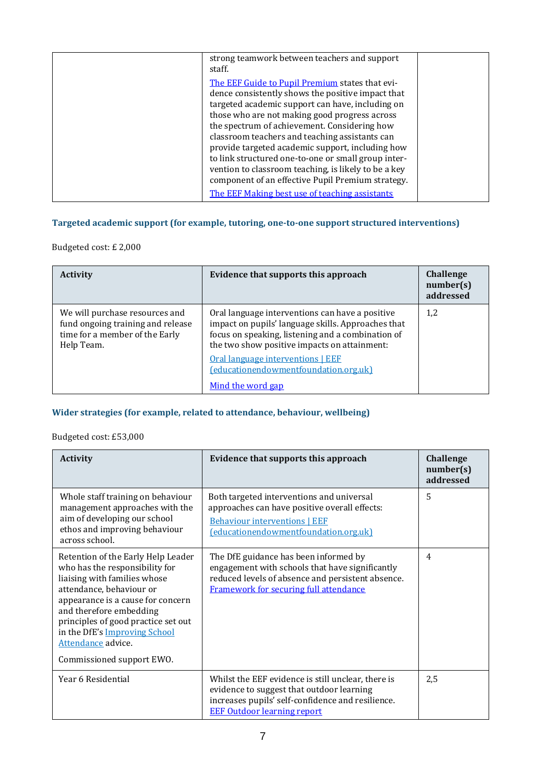| strong teamwork between teachers and support<br>staff.                                                                                                                                                                                                                                                                                                                                                                                                                         |  |
|--------------------------------------------------------------------------------------------------------------------------------------------------------------------------------------------------------------------------------------------------------------------------------------------------------------------------------------------------------------------------------------------------------------------------------------------------------------------------------|--|
| The EEF Guide to Pupil Premium states that evi-<br>dence consistently shows the positive impact that<br>targeted academic support can have, including on<br>those who are not making good progress across<br>the spectrum of achievement. Considering how<br>classroom teachers and teaching assistants can<br>provide targeted academic support, including how<br>to link structured one-to-one or small group inter-<br>vention to classroom teaching, is likely to be a key |  |
| component of an effective Pupil Premium strategy.<br>The EEF Making best use of teaching assistants                                                                                                                                                                                                                                                                                                                                                                            |  |

# **Targeted academic support (for example, tutoring, one-to-one support structured interventions)**

# Budgeted cost: £ 2,000

| <b>Activity</b>                                                                                                     | Evidence that supports this approach                                                                                                                                                                       | Challenge<br>number(s)<br>addressed |
|---------------------------------------------------------------------------------------------------------------------|------------------------------------------------------------------------------------------------------------------------------------------------------------------------------------------------------------|-------------------------------------|
| We will purchase resources and<br>fund ongoing training and release<br>time for a member of the Early<br>Help Team. | Oral language interventions can have a positive<br>impact on pupils' language skills. Approaches that<br>focus on speaking, listening and a combination of<br>the two show positive impacts on attainment: | 1,2                                 |
|                                                                                                                     | Oral language interventions   EEF<br>(educationendowmentfoundation.org.uk)<br>Mind the word gap                                                                                                            |                                     |

## **Wider strategies (for example, related to attendance, behaviour, wellbeing)**

# Budgeted cost: £53,000

| <b>Activity</b>                                                                                                                                                                                                                                                                                                             | Evidence that supports this approach                                                                                                                                                       | <b>Challenge</b><br>number(s)<br>addressed |
|-----------------------------------------------------------------------------------------------------------------------------------------------------------------------------------------------------------------------------------------------------------------------------------------------------------------------------|--------------------------------------------------------------------------------------------------------------------------------------------------------------------------------------------|--------------------------------------------|
| Whole staff training on behaviour<br>management approaches with the<br>aim of developing our school<br>ethos and improving behaviour<br>across school.                                                                                                                                                                      | Both targeted interventions and universal<br>approaches can have positive overall effects:<br><b>Behaviour interventions   EEF</b><br>(educationendowmentfoundation.org.uk)                | 5                                          |
| Retention of the Early Help Leader<br>who has the responsibility for<br>liaising with families whose<br>attendance, behaviour or<br>appearance is a cause for concern<br>and therefore embedding<br>principles of good practice set out<br>in the DfE's Improving School<br>Attendance advice.<br>Commissioned support EWO. | The DfE guidance has been informed by<br>engagement with schools that have significantly<br>reduced levels of absence and persistent absence.<br>Framework for securing full attendance    | $\overline{4}$                             |
| Year 6 Residential                                                                                                                                                                                                                                                                                                          | Whilst the EEF evidence is still unclear, there is<br>evidence to suggest that outdoor learning<br>increases pupils' self-confidence and resilience.<br><b>EEF Outdoor learning report</b> | 2,5                                        |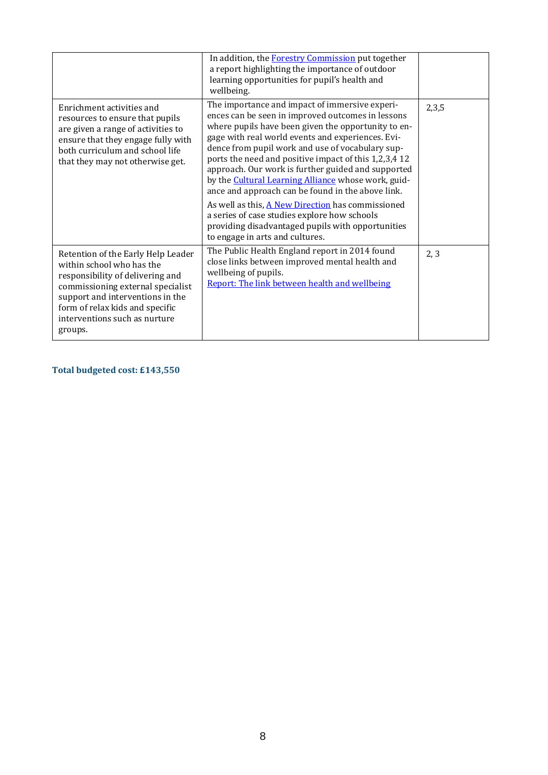|                                                                                                                                                                                                                                                             | In addition, the Forestry Commission put together<br>a report highlighting the importance of outdoor<br>learning opportunities for pupil's health and<br>wellbeing.                                                                                                                                                                                                                                                                                                                                                                                                                                                                                                                         |       |
|-------------------------------------------------------------------------------------------------------------------------------------------------------------------------------------------------------------------------------------------------------------|---------------------------------------------------------------------------------------------------------------------------------------------------------------------------------------------------------------------------------------------------------------------------------------------------------------------------------------------------------------------------------------------------------------------------------------------------------------------------------------------------------------------------------------------------------------------------------------------------------------------------------------------------------------------------------------------|-------|
| Enrichment activities and<br>resources to ensure that pupils<br>are given a range of activities to<br>ensure that they engage fully with<br>both curriculum and school life<br>that they may not otherwise get.                                             | The importance and impact of immersive experi-<br>ences can be seen in improved outcomes in lessons<br>where pupils have been given the opportunity to en-<br>gage with real world events and experiences. Evi-<br>dence from pupil work and use of vocabulary sup-<br>ports the need and positive impact of this 1,2,3,4 12<br>approach. Our work is further guided and supported<br>by the Cultural Learning Alliance whose work, guid-<br>ance and approach can be found in the above link.<br>As well as this, A New Direction has commissioned<br>a series of case studies explore how schools<br>providing disadvantaged pupils with opportunities<br>to engage in arts and cultures. | 2,3,5 |
| Retention of the Early Help Leader<br>within school who has the<br>responsibility of delivering and<br>commissioning external specialist<br>support and interventions in the<br>form of relax kids and specific<br>interventions such as nurture<br>groups. | The Public Health England report in 2014 found<br>close links between improved mental health and<br>wellbeing of pupils.<br>Report: The link between health and wellbeing                                                                                                                                                                                                                                                                                                                                                                                                                                                                                                                   | 2, 3  |

**Total budgeted cost: £143,550**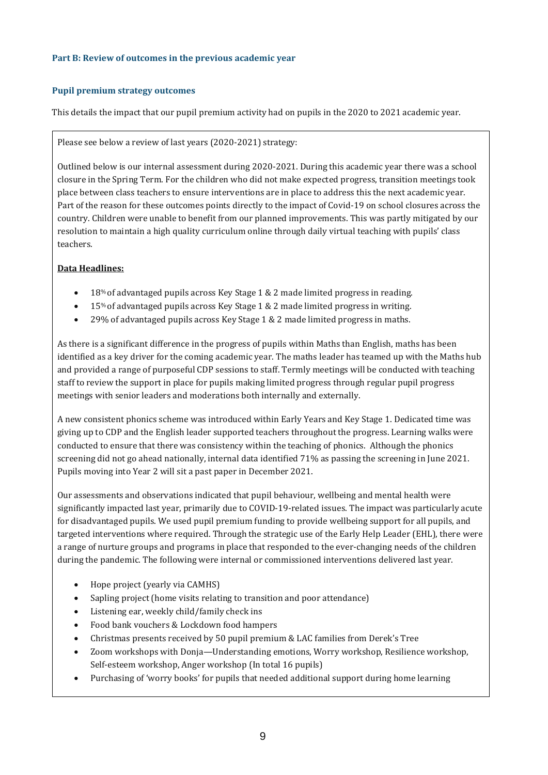### **Part B: Review of outcomes in the previous academic year**

### **Pupil premium strategy outcomes**

This details the impact that our pupil premium activity had on pupils in the 2020 to 2021 academic year.

### Please see below a review of last years (2020-2021) strategy:

Outlined below is our internal assessment during 2020-2021. During this academic year there was a school closure in the Spring Term. For the children who did not make expected progress, transition meetings took place between class teachers to ensure interventions are in place to address this the next academic year. Part of the reason for these outcomes points directly to the impact of Covid-19 on school closures across the country. Children were unable to benefit from our planned improvements. This was partly mitigated by our resolution to maintain a high quality curriculum online through daily virtual teaching with pupils' class teachers.

## **Data Headlines:**

- 18% of advantaged pupils across Key Stage 1 & 2 made limited progress in reading.
- 15% of advantaged pupils across Key Stage 1 & 2 made limited progress in writing.
- 29% of advantaged pupils across Key Stage 1 & 2 made limited progress in maths.

As there is a significant difference in the progress of pupils within Maths than English, maths has been identified as a key driver for the coming academic year. The maths leader has teamed up with the Maths hub and provided a range of purposeful CDP sessions to staff. Termly meetings will be conducted with teaching staff to review the support in place for pupils making limited progress through regular pupil progress meetings with senior leaders and moderations both internally and externally.

A new consistent phonics scheme was introduced within Early Years and Key Stage 1. Dedicated time was giving up to CDP and the English leader supported teachers throughout the progress. Learning walks were conducted to ensure that there was consistency within the teaching of phonics. Although the phonics screening did not go ahead nationally, internal data identified 71% as passing the screening in June 2021. Pupils moving into Year 2 will sit a past paper in December 2021.

Our assessments and observations indicated that pupil behaviour, wellbeing and mental health were significantly impacted last year, primarily due to COVID-19-related issues. The impact was particularly acute for disadvantaged pupils. We used pupil premium funding to provide wellbeing support for all pupils, and targeted interventions where required. Through the strategic use of the Early Help Leader (EHL), there were a range of nurture groups and programs in place that responded to the ever-changing needs of the children during the pandemic. The following were internal or commissioned interventions delivered last year.

- Hope project (yearly via CAMHS)
- Sapling project (home visits relating to transition and poor attendance)
- Listening ear, weekly child/family check ins
- Food bank vouchers & Lockdown food hampers
- Christmas presents received by 50 pupil premium & LAC families from Derek's Tree
- Zoom workshops with Donja—Understanding emotions, Worry workshop, Resilience workshop, Self-esteem workshop, Anger workshop (In total 16 pupils)
- Purchasing of 'worry books' for pupils that needed additional support during home learning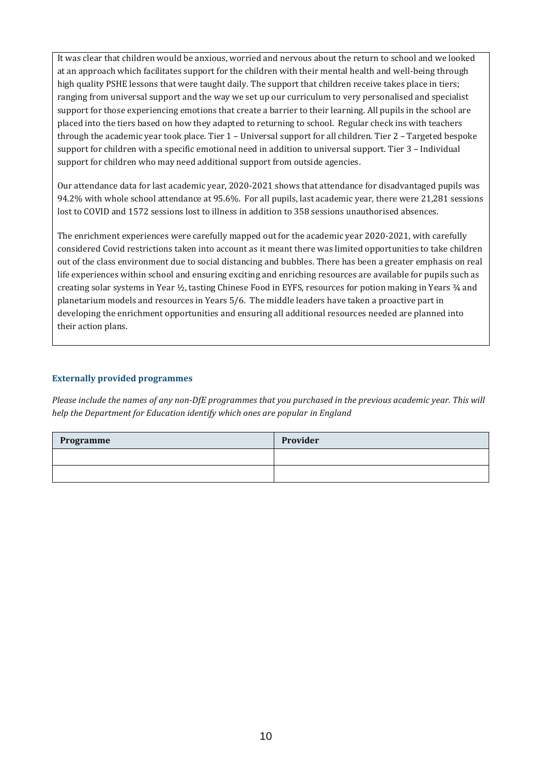It was clear that children would be anxious, worried and nervous about the return to school and we looked at an approach which facilitates support for the children with their mental health and well-being through high quality PSHE lessons that were taught daily. The support that children receive takes place in tiers; ranging from universal support and the way we set up our curriculum to very personalised and specialist support for those experiencing emotions that create a barrier to their learning. All pupils in the school are placed into the tiers based on how they adapted to returning to school. Regular check ins with teachers through the academic year took place. Tier 1 – Universal support for all children. Tier 2 – Targeted bespoke support for children with a specific emotional need in addition to universal support. Tier 3 – Individual support for children who may need additional support from outside agencies.

Our attendance data for last academic year, 2020-2021 shows that attendance for disadvantaged pupils was 94.2% with whole school attendance at 95.6%. For all pupils, last academic year, there were 21,281 sessions lost to COVID and 1572 sessions lost to illness in addition to 358 sessions unauthorised absences.

The enrichment experiences were carefully mapped out for the academic year 2020-2021, with carefully considered Covid restrictions taken into account as it meant there was limited opportunities to take children out of the class environment due to social distancing and bubbles. There has been a greater emphasis on real life experiences within school and ensuring exciting and enriching resources are available for pupils such as creating solar systems in Year  $\frac{1}{2}$ , tasting Chinese Food in EYFS, resources for potion making in Years  $\frac{3}{4}$  and planetarium models and resources in Years 5/6. The middle leaders have taken a proactive part in developing the enrichment opportunities and ensuring all additional resources needed are planned into their action plans.

### **Externally provided programmes**

*Please include the names of any non-DfE programmes that you purchased in the previous academic year. This will help the Department for Education identify which ones are popular in England*

| Programme | Provider |
|-----------|----------|
|           |          |
|           |          |